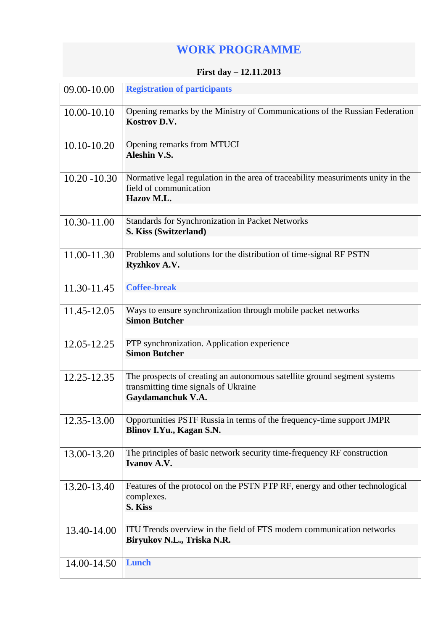## **WORK PROGRAMME**

## **First day – 12.11.2013**

| 09.00-10.00     | <b>Registration of participants</b>                                                                                                   |
|-----------------|---------------------------------------------------------------------------------------------------------------------------------------|
| 10.00-10.10     | Opening remarks by the Ministry of Communications of the Russian Federation<br>Kostrov D.V.                                           |
| 10.10-10.20     | Opening remarks from MTUCI<br><b>Aleshin V.S.</b>                                                                                     |
| $10.20 - 10.30$ | Normative legal regulation in the area of traceability measuriments unity in the<br>field of communication<br>Hazov M.L.              |
| 10.30-11.00     | Standards for Synchronization in Packet Networks<br>S. Kiss (Switzerland)                                                             |
| 11.00-11.30     | Problems and solutions for the distribution of time-signal RF PSTN<br>Ryzhkov A.V.                                                    |
| 11.30-11.45     | <b>Coffee-break</b>                                                                                                                   |
| 11.45-12.05     | Ways to ensure synchronization through mobile packet networks<br><b>Simon Butcher</b>                                                 |
| 12.05-12.25     | PTP synchronization. Application experience<br><b>Simon Butcher</b>                                                                   |
| 12.25-12.35     | The prospects of creating an autonomous satellite ground segment systems<br>transmitting time signals of Ukraine<br>Gaydamanchuk V.A. |
| 12.35-13.00     | Opportunities PSTF Russia in terms of the frequency-time support JMPR<br>Blinov I.Yu., Kagan S.N.                                     |
| 13.00-13.20     | The principles of basic network security time-frequency RF construction<br><b>Ivanov A.V.</b>                                         |
| 13.20-13.40     | Features of the protocol on the PSTN PTP RF, energy and other technological<br>complexes.<br>S. Kiss                                  |
| 13.40-14.00     | ITU Trends overview in the field of FTS modern communication networks<br>Biryukov N.L., Triska N.R.                                   |
| 14.00-14.50     | <b>Lunch</b>                                                                                                                          |